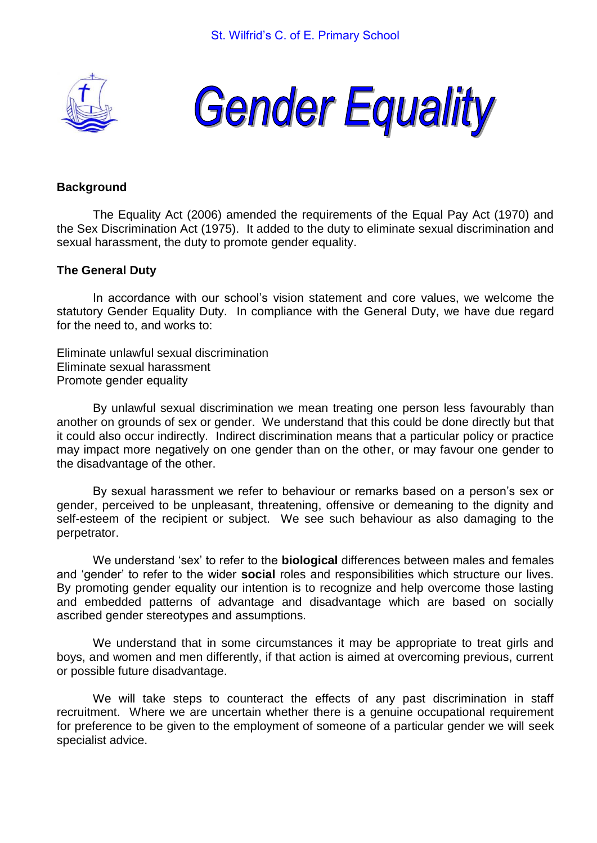



# **Background**

The Equality Act (2006) amended the requirements of the Equal Pay Act (1970) and the Sex Discrimination Act (1975). It added to the duty to eliminate sexual discrimination and sexual harassment, the duty to promote gender equality.

#### **The General Duty**

In accordance with our school's vision statement and core values, we welcome the statutory Gender Equality Duty. In compliance with the General Duty, we have due regard for the need to, and works to:

Eliminate unlawful sexual discrimination Eliminate sexual harassment Promote gender equality

By unlawful sexual discrimination we mean treating one person less favourably than another on grounds of sex or gender. We understand that this could be done directly but that it could also occur indirectly. Indirect discrimination means that a particular policy or practice may impact more negatively on one gender than on the other, or may favour one gender to the disadvantage of the other.

By sexual harassment we refer to behaviour or remarks based on a person's sex or gender, perceived to be unpleasant, threatening, offensive or demeaning to the dignity and self-esteem of the recipient or subject. We see such behaviour as also damaging to the perpetrator.

We understand 'sex' to refer to the **biological** differences between males and females and 'gender' to refer to the wider **social** roles and responsibilities which structure our lives. By promoting gender equality our intention is to recognize and help overcome those lasting and embedded patterns of advantage and disadvantage which are based on socially ascribed gender stereotypes and assumptions.

We understand that in some circumstances it may be appropriate to treat girls and boys, and women and men differently, if that action is aimed at overcoming previous, current or possible future disadvantage.

We will take steps to counteract the effects of any past discrimination in staff recruitment. Where we are uncertain whether there is a genuine occupational requirement for preference to be given to the employment of someone of a particular gender we will seek specialist advice.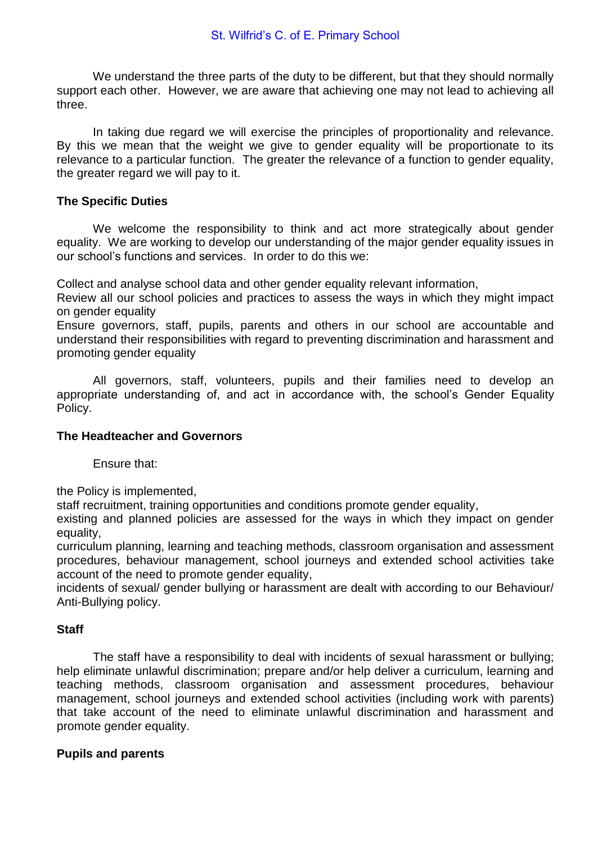We understand the three parts of the duty to be different, but that they should normally support each other. However, we are aware that achieving one may not lead to achieving all three.

In taking due regard we will exercise the principles of proportionality and relevance. By this we mean that the weight we give to gender equality will be proportionate to its relevance to a particular function. The greater the relevance of a function to gender equality, the greater regard we will pay to it.

# **The Specific Duties**

We welcome the responsibility to think and act more strategically about gender equality. We are working to develop our understanding of the major gender equality issues in our school's functions and services. In order to do this we:

Collect and analyse school data and other gender equality relevant information,

Review all our school policies and practices to assess the ways in which they might impact on gender equality

Ensure governors, staff, pupils, parents and others in our school are accountable and understand their responsibilities with regard to preventing discrimination and harassment and promoting gender equality

All governors, staff, volunteers, pupils and their families need to develop an appropriate understanding of, and act in accordance with, the school's Gender Equality Policy.

## **The Headteacher and Governors**

Ensure that:

the Policy is implemented,

staff recruitment, training opportunities and conditions promote gender equality,

existing and planned policies are assessed for the ways in which they impact on gender equality,

curriculum planning, learning and teaching methods, classroom organisation and assessment procedures, behaviour management, school journeys and extended school activities take account of the need to promote gender equality,

incidents of sexual/ gender bullying or harassment are dealt with according to our Behaviour/ Anti-Bullying policy.

## **Staff**

The staff have a responsibility to deal with incidents of sexual harassment or bullying; help eliminate unlawful discrimination; prepare and/or help deliver a curriculum, learning and teaching methods, classroom organisation and assessment procedures, behaviour management, school journeys and extended school activities (including work with parents) that take account of the need to eliminate unlawful discrimination and harassment and promote gender equality.

# **Pupils and parents**